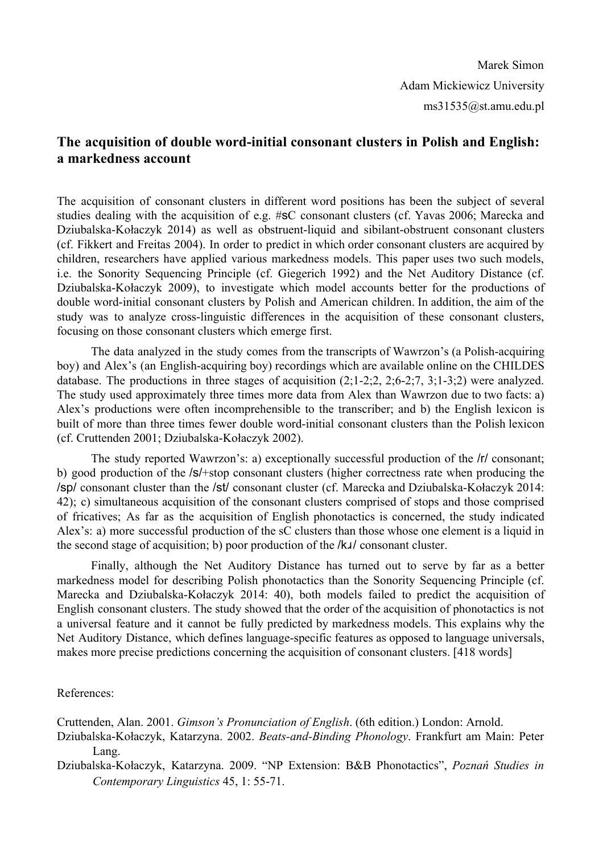Marek Simon Adam Mickiewicz University ms31535@st.amu.edu.pl

## **The** acquisition of double word-initial consonant clusters in Polish and English: **a markedness account**

The acquisition of consonant clusters in different word positions has been the subject of several studies dealing with the acquisition of e.g. #sC consonant clusters (cf. Yavas 2006; Marecka and Dziubalska-Kołaczyk 2014) as well as obstruent-liquid and sibilant-obstruent consonant clusters (cf. Fikkert and Freitas 2004). In order to predict in which order consonant clusters are acquired by children, researchers have applied various markedness models. This paper uses two such models, i.e. the Sonority Sequencing Principle (cf. Giegerich 1992) and the Net Auditory Distance (cf. Dziubalska-Kołaczyk 2009), to investigate which model accounts better for the productions of double word-initial consonant clusters by Polish and American children. In addition, the aim of the study was to analyze cross-linguistic differences in the acquisition of these consonant clusters, focusing on those consonant clusters which emerge first.

The data analyzed in the study comes from the transcripts of Wawrzon's (a Polish-acquiring boy) and Alex's (an English-acquiring boy) recordings which are available online on the CHILDES database. The productions in three stages of acquisition  $(2,1-2,2, 2,6-2,7, 3,1-3,2)$  were analyzed. The study used approximately three times more data from Alex than Wawrzon due to two facts: a) Alex's productions were often incomprehensible to the transcriber; and b) the English lexicon is built of more than three times fewer double word-initial consonant clusters than the Polish lexicon (cf. Cruttenden 2001; Dziubalska-Kołaczyk 2002).

The study reported Wawrzon's: a) exceptionally successful production of the /r/ consonant; b) good production of the /s/+stop consonant clusters (higher correctness rate when producing the /sp/ consonant cluster than the /st/ consonant cluster (cf. Marecka and Dziubalska-Kołaczyk 2014: 42); c) simultaneous acquisition of the consonant clusters comprised of stops and those comprised of fricatives; As far as the acquisition of English phonotactics is concerned, the study indicated Alex's: a) more successful production of the sC clusters than those whose one element is a liquid in the second stage of acquisition; b) poor production of the /kɹ/ consonant cluster.

Finally, although the Net Auditory Distance has turned out to serve by far as a better markedness model for describing Polish phonotactics than the Sonority Sequencing Principle (cf. Marecka and Dziubalska-Kołaczyk 2014: 40), both models failed to predict the acquisition of English consonant clusters. The study showed that the order of the acquisition of phonotactics is not a universal feature and it cannot be fully predicted by markedness models. This explains why the Net Auditory Distance, which defines language-specific features as opposed to language universals, makes more precise predictions concerning the acquisition of consonant clusters. [418 words]

References:

Cruttenden, Alan. 2001. *Gimson's Pronunciation of English*. (6th edition.) London: Arnold.

Dziubalska-Kołaczyk, Katarzyna. 2002. *Beats-and-Binding Phonology*. Frankfurt am Main: Peter Lang.

Dziubalska-Kołaczyk, Katarzyna. 2009. "NP Extension: B&B Phonotactics", Poznań Studies in *Contemporary Linguistics* 45, 1: 55-71.